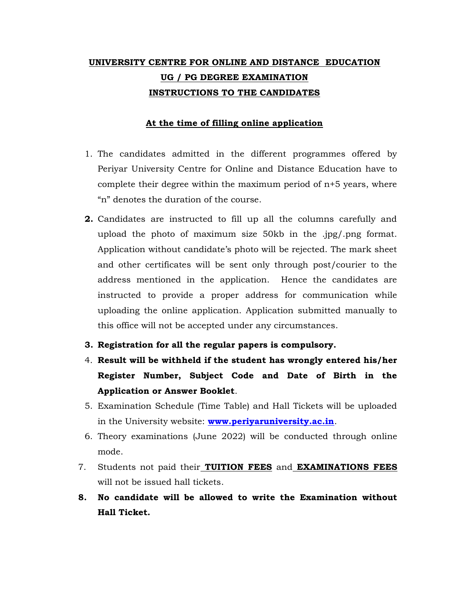## UNIVERSITY CENTRE FOR ONLINE AND DUSTATING THE UG / PG DEGREE EXAMINATION INSTRUCTIONS TO THE CANDIDATES

## At the time of filling online application

- 1. The candidates admitted in the different programmes Periyauniversity Centre for ODlismtenamed Education have to complete their degree within the maximum period of  $n+5$ n denotes the durth the coowerse.
- 2. Candidates are instructed to fill up all the columns c upload the photoo xoitmum size 50kb in the .jpg/.png for Application without candidate s photo will be rejected. T and other certificates will be sent only through post/co address mentioned in the application. Hence the can instrued to provide a proper address for communicati uploading the online application. Application submitted this office will not be under pation dircumstances
- 3.Registration for all the regular papers is compulsory.
- 4. Result will behwelth if the student has wrongly entered his Register Number, Subject Code and Date of Birth Application or Answer Booklet .
- 5. Examination Sc[hedule \(Time Table\) an](http://www.periyaruniversity.ac.in/)d Hall Tickets will in the University we by interivaruniversity.ac.in
- 6. Theory examinatlicom  $(22)$  will be conducted through onli mode.
- 7. Students not paid TUIN FILON FEES AND STEES will not be issued hall tickets
- 8. No candidatel whe allowed to write the Examination with Hall Ticket.